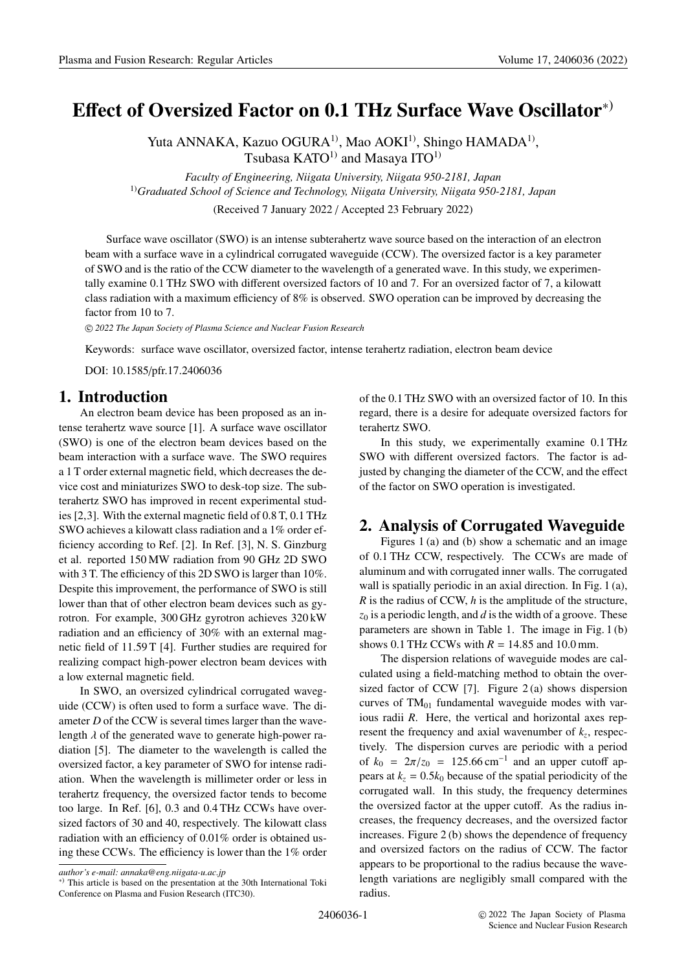# **E**ff**ect of Oversized Factor on 0.1 THz Surface Wave Oscillator**∗)

Yuta ANNAKA, Kazuo OGURA<sup>1)</sup>, Mao AOKI<sup>1)</sup>, Shingo HAMADA<sup>1)</sup>, Tsubasa  $KATO<sup>1</sup>$  and Masaya ITO<sup>1)</sup>

*Faculty of Engineering, Niigata University, Niigata 950-2181, Japan* 1)*Graduated School of Science and Technology, Niigata University, Niigata 950-2181, Japan*

(Received 7 January 2022 / Accepted 23 February 2022)

Surface wave oscillator (SWO) is an intense subterahertz wave source based on the interaction of an electron beam with a surface wave in a cylindrical corrugated waveguide (CCW). The oversized factor is a key parameter of SWO and is the ratio of the CCW diameter to the wavelength of a generated wave. In this study, we experimentally examine 0.1 THz SWO with different oversized factors of 10 and 7. For an oversized factor of 7, a kilowatt class radiation with a maximum efficiency of 8% is observed. SWO operation can be improved by decreasing the factor from 10 to 7.

c *2022 The Japan Society of Plasma Science and Nuclear Fusion Research*

Keywords: surface wave oscillator, oversized factor, intense terahertz radiation, electron beam device

DOI: 10.1585/pfr.17.2406036

#### **1. Introduction**

An electron beam device has been proposed as an intense terahertz wave source [1]. A surface wave oscillator (SWO) is one of the electron beam devices based on the beam interaction with a surface wave. The SWO requires a 1 T order external magnetic field, which decreases the device cost and miniaturizes SWO to desk-top size. The subterahertz SWO has improved in recent experimental studies [2,3]. With the external magnetic field of 0.8 T, 0.1 THz SWO achieves a kilowatt class radiation and a 1% order efficiency according to Ref. [2]. In Ref. [3], N. S. Ginzburg et al. reported 150 MW radiation from 90 GHz 2D SWO with 3 T. The efficiency of this 2D SWO is larger than 10%. Despite this improvement, the performance of SWO is still lower than that of other electron beam devices such as gyrotron. For example, 300 GHz gyrotron achieves 320 kW radiation and an efficiency of 30% with an external magnetic field of 11.59 T [4]. Further studies are required for realizing compact high-power electron beam devices with a low external magnetic field.

In SWO, an oversized cylindrical corrugated waveguide (CCW) is often used to form a surface wave. The diameter *D* of the CCW is several times larger than the wavelength  $\lambda$  of the generated wave to generate high-power radiation [5]. The diameter to the wavelength is called the oversized factor, a key parameter of SWO for intense radiation. When the wavelength is millimeter order or less in terahertz frequency, the oversized factor tends to become too large. In Ref. [6], 0.3 and 0.4 THz CCWs have oversized factors of 30 and 40, respectively. The kilowatt class radiation with an efficiency of 0.01% order is obtained using these CCWs. The efficiency is lower than the 1% order of the 0.1 THz SWO with an oversized factor of 10. In this regard, there is a desire for adequate oversized factors for terahertz SWO.

In this study, we experimentally examine 0.1 THz SWO with different oversized factors. The factor is adjusted by changing the diameter of the CCW, and the effect of the factor on SWO operation is investigated.

## **2. Analysis of Corrugated Waveguide**

Figures 1 (a) and (b) show a schematic and an image of 0.1 THz CCW, respectively. The CCWs are made of aluminum and with corrugated inner walls. The corrugated wall is spatially periodic in an axial direction. In Fig. 1 (a), *R* is the radius of CCW, *h* is the amplitude of the structure,  $z_0$  is a periodic length, and *d* is the width of a groove. These parameters are shown in Table 1. The image in Fig. 1 (b) shows 0.1 THz CCWs with  $R = 14.85$  and 10.0 mm.

The dispersion relations of waveguide modes are calculated using a field-matching method to obtain the oversized factor of CCW [7]. Figure  $2(a)$  shows dispersion curves of  $TM_{01}$  fundamental waveguide modes with various radii *R*. Here, the vertical and horizontal axes represent the frequency and axial wavenumber of  $k_z$ , respectively. The dispersion curves are periodic with a period of  $k_0 = 2\pi/z_0 = 125.66 \text{ cm}^{-1}$  and an upper cutoff appears at  $k_z = 0.5k_0$  because of the spatial periodicity of the corrugated wall. In this study, the frequency determines the oversized factor at the upper cutoff. As the radius increases, the frequency decreases, and the oversized factor increases. Figure 2 (b) shows the dependence of frequency and oversized factors on the radius of CCW. The factor appears to be proportional to the radius because the wavelength variations are negligibly small compared with the radius.

*author's e-mail: annaka@eng.niigata-u.ac.jp*

<sup>∗</sup>) This article is based on the presentation at the 30th International Toki Conference on Plasma and Fusion Research (ITC30).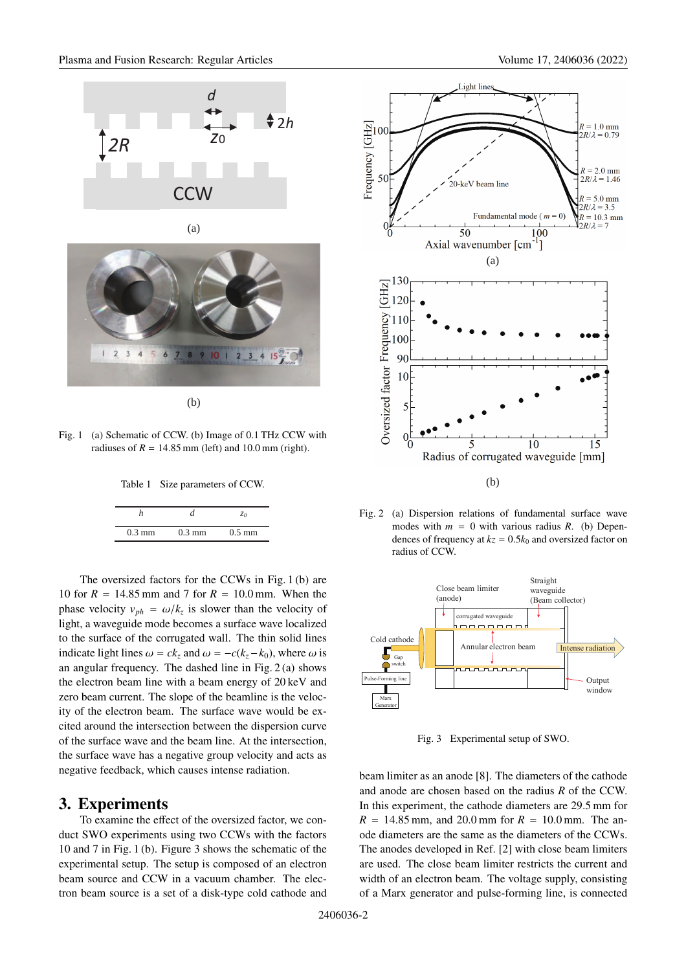



(b)

Fig. 1 (a) Schematic of CCW. (b) Image of 0.1 THz CCW with radiuses of  $R = 14.85$  mm (left) and 10.0 mm (right).

Table 1 Size parameters of CCW.

|                  |                  | ζo               |
|------------------|------------------|------------------|
| $0.3 \text{ mm}$ | $0.3 \text{ mm}$ | $0.5 \text{ mm}$ |

The oversized factors for the CCWs in Fig. 1 (b) are 10 for *R* = 14.85 mm and 7 for *R* = 10.0 mm. When the phase velocity  $v_{ph} = \omega/k_z$  is slower than the velocity of light, a waveguide mode becomes a surface wave localized to the surface of the corrugated wall. The thin solid lines indicate light lines  $\omega = ck_z$  and  $\omega = -c(k_z - k_0)$ , where  $\omega$  is an angular frequency. The dashed line in Fig. 2 (a) shows the electron beam line with a beam energy of 20 keV and zero beam current. The slope of the beamline is the velocity of the electron beam. The surface wave would be excited around the intersection between the dispersion curve of the surface wave and the beam line. At the intersection, the surface wave has a negative group velocity and acts as negative feedback, which causes intense radiation.

#### **3. Experiments**

To examine the effect of the oversized factor, we conduct SWO experiments using two CCWs with the factors 10 and 7 in Fig. 1 (b). Figure 3 shows the schematic of the experimental setup. The setup is composed of an electron beam source and CCW in a vacuum chamber. The electron beam source is a set of a disk-type cold cathode and



Fig. 2 (a) Dispersion relations of fundamental surface wave modes with  $m = 0$  with various radius  $R$ . (b) Dependences of frequency at  $kz = 0.5k_0$  and oversized factor on radius of CCW.



Fig. 3 Experimental setup of SWO.

beam limiter as an anode [8]. The diameters of the cathode and anode are chosen based on the radius *R* of the CCW. In this experiment, the cathode diameters are 29.5 mm for  $R = 14.85$  mm, and 20.0 mm for  $R = 10.0$  mm. The anode diameters are the same as the diameters of the CCWs. The anodes developed in Ref. [2] with close beam limiters are used. The close beam limiter restricts the current and width of an electron beam. The voltage supply, consisting of a Marx generator and pulse-forming line, is connected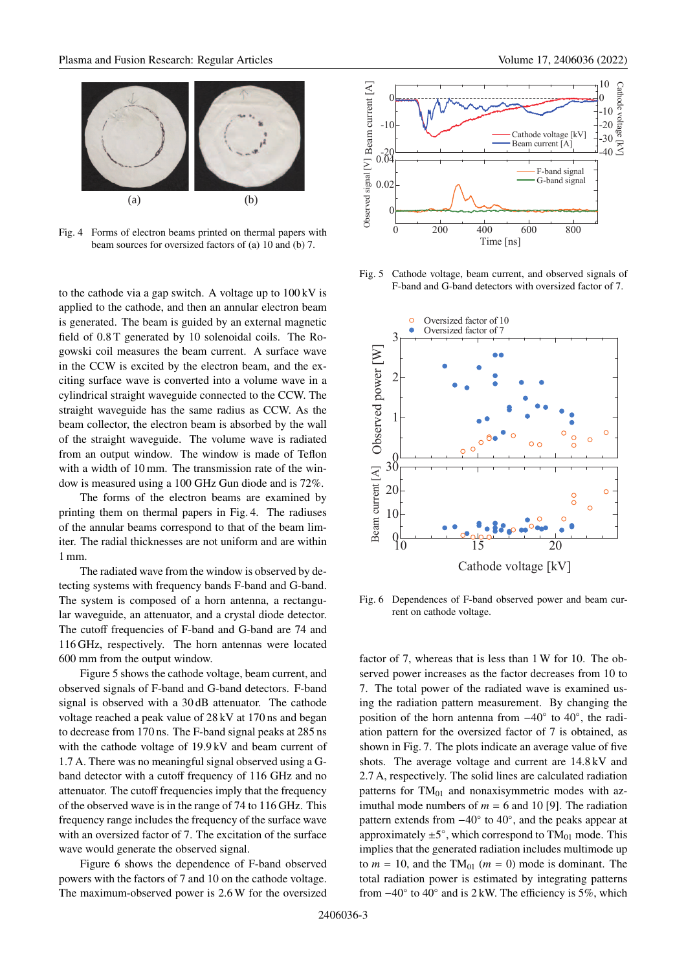

Fig. 4 Forms of electron beams printed on thermal papers with beam sources for oversized factors of (a) 10 and (b) 7.

to the cathode via a gap switch. A voltage up to  $100 \text{ kV}$  is applied to the cathode, and then an annular electron beam is generated. The beam is guided by an external magnetic field of 0.8 T generated by 10 solenoidal coils. The Rogowski coil measures the beam current. A surface wave in the CCW is excited by the electron beam, and the exciting surface wave is converted into a volume wave in a cylindrical straight waveguide connected to the CCW. The straight waveguide has the same radius as CCW. As the beam collector, the electron beam is absorbed by the wall of the straight waveguide. The volume wave is radiated from an output window. The window is made of Teflon with a width of 10 mm. The transmission rate of the window is measured using a 100 GHz Gun diode and is 72%.

The forms of the electron beams are examined by printing them on thermal papers in Fig. 4. The radiuses of the annular beams correspond to that of the beam limiter. The radial thicknesses are not uniform and are within 1 mm.

The radiated wave from the window is observed by detecting systems with frequency bands F-band and G-band. The system is composed of a horn antenna, a rectangular waveguide, an attenuator, and a crystal diode detector. The cutoff frequencies of F-band and G-band are 74 and 116 GHz, respectively. The horn antennas were located 600 mm from the output window.

Figure 5 shows the cathode voltage, beam current, and observed signals of F-band and G-band detectors. F-band signal is observed with a 30 dB attenuator. The cathode voltage reached a peak value of 28 kV at 170 ns and began to decrease from 170 ns. The F-band signal peaks at 285 ns with the cathode voltage of 19.9 kV and beam current of 1.7 A. There was no meaningful signal observed using a Gband detector with a cutoff frequency of 116 GHz and no attenuator. The cutoff frequencies imply that the frequency of the observed wave is in the range of 74 to 116 GHz. This frequency range includes the frequency of the surface wave with an oversized factor of 7. The excitation of the surface wave would generate the observed signal.

Figure 6 shows the dependence of F-band observed powers with the factors of 7 and 10 on the cathode voltage. The maximum-observed power is 2.6 W for the oversized



Fig. 5 Cathode voltage, beam current, and observed signals of F-band and G-band detectors with oversized factor of 7.



Fig. 6 Dependences of F-band observed power and beam current on cathode voltage.

factor of 7, whereas that is less than 1 W for 10. The observed power increases as the factor decreases from 10 to 7. The total power of the radiated wave is examined using the radiation pattern measurement. By changing the position of the horn antenna from −40◦ to 40◦, the radiation pattern for the oversized factor of 7 is obtained, as shown in Fig. 7. The plots indicate an average value of five shots. The average voltage and current are 14.8 kV and 2.7 A, respectively. The solid lines are calculated radiation patterns for  $TM_{01}$  and nonaxisymmetric modes with azimuthal mode numbers of  $m = 6$  and 10 [9]. The radiation pattern extends from −40◦ to 40◦, and the peaks appear at approximately  $\pm 5^{\circ}$ , which correspond to TM<sub>01</sub> mode. This implies that the generated radiation includes multimode up to  $m = 10$ , and the TM<sub>01</sub> ( $m = 0$ ) mode is dominant. The total radiation power is estimated by integrating patterns from  $-40^\circ$  to  $40^\circ$  and is 2 kW. The efficiency is 5%, which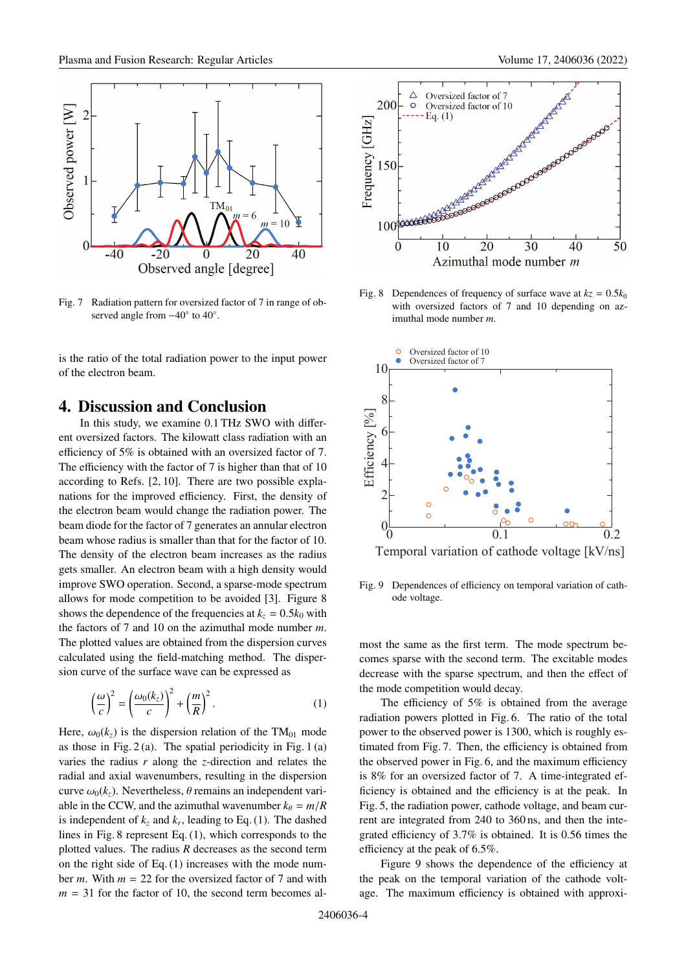

Fig. 7 Radiation pattern for oversized factor of 7 in range of observed angle from  $-40°$  to  $40°$ .

is the ratio of the total radiation power to the input power of the electron beam.

## **4. Discussion and Conclusion**

In this study, we examine 0.1 THz SWO with different oversized factors. The kilowatt class radiation with an efficiency of 5% is obtained with an oversized factor of 7. The efficiency with the factor of 7 is higher than that of 10 according to Refs. [2, 10]. There are two possible explanations for the improved efficiency. First, the density of the electron beam would change the radiation power. The beam diode for the factor of 7 generates an annular electron beam whose radius is smaller than that for the factor of 10. The density of the electron beam increases as the radius gets smaller. An electron beam with a high density would improve SWO operation. Second, a sparse-mode spectrum allows for mode competition to be avoided [3]. Figure 8 shows the dependence of the frequencies at  $k_z = 0.5k_0$  with the factors of 7 and 10 on the azimuthal mode number *m*. The plotted values are obtained from the dispersion curves calculated using the field-matching method. The dispersion curve of the surface wave can be expressed as

$$
\left(\frac{\omega}{c}\right)^2 = \left(\frac{\omega_0(k_z)}{c}\right)^2 + \left(\frac{m}{R}\right)^2.
$$
 (1)

Here,  $\omega_0(k_z)$  is the dispersion relation of the TM<sub>01</sub> mode as those in Fig.  $2(a)$ . The spatial periodicity in Fig. 1(a) varies the radius *r* along the *z*-direction and relates the radial and axial wavenumbers, resulting in the dispersion curve  $\omega_0(k_z)$ . Nevertheless,  $\theta$  remains an independent variable in the CCW, and the azimuthal wavenumber  $k_{\theta} = m/R$ is independent of  $k_z$  and  $k_r$ , leading to Eq. (1). The dashed lines in Fig. 8 represent Eq. (1), which corresponds to the plotted values. The radius *R* decreases as the second term on the right side of Eq. (1) increases with the mode number *m*. With *m* = 22 for the oversized factor of 7 and with  $m = 31$  for the factor of 10, the second term becomes al-



Fig. 8 Dependences of frequency of surface wave at  $kz = 0.5k_0$ with oversized factors of 7 and 10 depending on azimuthal mode number *m*.



Fig. 9 Dependences of efficiency on temporal variation of cathode voltage.

most the same as the first term. The mode spectrum becomes sparse with the second term. The excitable modes decrease with the sparse spectrum, and then the effect of the mode competition would decay.

The efficiency of 5% is obtained from the average radiation powers plotted in Fig. 6. The ratio of the total power to the observed power is 1300, which is roughly estimated from Fig. 7. Then, the efficiency is obtained from the observed power in Fig. 6, and the maximum efficiency is 8% for an oversized factor of 7. A time-integrated efficiency is obtained and the efficiency is at the peak. In Fig. 5, the radiation power, cathode voltage, and beam current are integrated from 240 to 360 ns, and then the integrated efficiency of 3.7% is obtained. It is 0.56 times the efficiency at the peak of 6.5%.

Figure 9 shows the dependence of the efficiency at the peak on the temporal variation of the cathode voltage. The maximum efficiency is obtained with approxi